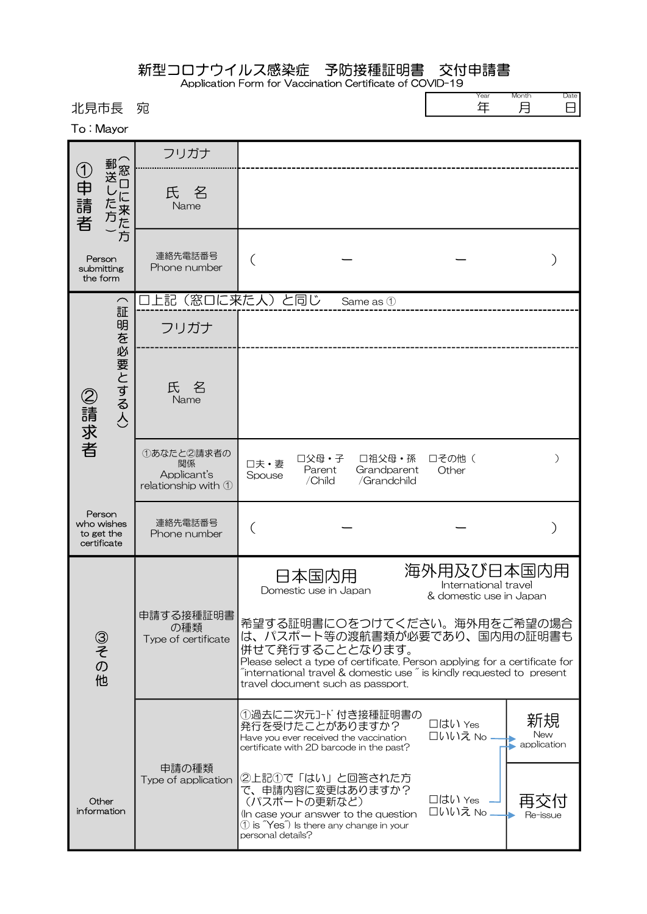|  |  |  |  |  |  |  | 新型コロナウイルス感染症 予防接種証明書 交付申請書 |
|--|--|--|--|--|--|--|----------------------------|
|  |  |  |  |  |  |  |                            |

Application Form for Vaccination Certificate of COVID-19

| 北見市長<br>To: Mayor                                 | 宛                                                      |                                                                                                                                                                                                                                                                                                  | Month<br>Date<br>Year<br>年<br>月<br>8                          |
|---------------------------------------------------|--------------------------------------------------------|--------------------------------------------------------------------------------------------------------------------------------------------------------------------------------------------------------------------------------------------------------------------------------------------------|---------------------------------------------------------------|
|                                                   | フリガナ                                                   |                                                                                                                                                                                                                                                                                                  |                                                               |
| 郵送し<br>①申請者<br>た方<br>!来た方                         | 名<br>氏<br>Name                                         |                                                                                                                                                                                                                                                                                                  |                                                               |
| Person<br>submitting<br>the form                  | 連絡先電話番号<br>Phone number                                |                                                                                                                                                                                                                                                                                                  |                                                               |
| $\overline{\phantom{0}}$                          | フリガナ                                                   | 上記(窓口に来た人)と同じ<br>Same as 1                                                                                                                                                                                                                                                                       |                                                               |
| 証明を必要とする人)<br>②請求者                                | 氏<br>名<br>Name                                         |                                                                                                                                                                                                                                                                                                  |                                                               |
|                                                   | ①あなたと2請求者の<br>関係<br>Applicant's<br>relationship with 1 | □父母・子<br>□祖父母・孫<br>口夫·妻<br>Grandparent<br>Parent<br>Spouse<br>/Child<br>/Grandchild                                                                                                                                                                                                              | 口その他(<br>$\mathcal{E}$<br>Other                               |
| Person<br>who wishes<br>to get the<br>certificate | 連絡先電話番号<br>Phone number                                | (                                                                                                                                                                                                                                                                                                |                                                               |
|                                                   | 申請する接種証明書                                              | 日本国内用<br>Domestic use in Japan                                                                                                                                                                                                                                                                   | 海外用及び日本国内用<br>International travel<br>& domestic use in Japan |
| ③その他                                              | の種類<br>Type of certificate                             | 希望する証明書に〇をつけてください。海外用をご希望の場合<br>は、パスポート等の渡航書類が必要であり、国内用の証明書も<br>併せて発行することとなります。<br>Please select a type of certificate. Person applying for a certificate for<br>$\tilde{a}$ international travel & domestic use $\tilde{a}$ is kindly requested to present<br>travel document such as passport. |                                                               |
|                                                   |                                                        | ①過去に二次元コード付き接種証明書の<br>発行を受けたことがありますか?<br>Have you ever received the vaccination<br>certificate with 2D barcode in the past?                                                                                                                                                                      | 新規<br>□はい Yes<br>New<br>口いいえ No<br>application                |
| Other<br>information                              | 申請の種類<br>Type of application                           | ②上記①で「はい」と回答された方<br>で、申請内容に変更はありますか?<br>(パスポートの更新など)<br>(In case your answer to the question<br>$\textcircled{1}$ is $\textup{``Yes''}$ Is there any change in your<br>personal details?                                                                                                         | □はい Yes<br>口いいえ No<br>Re-issue                                |